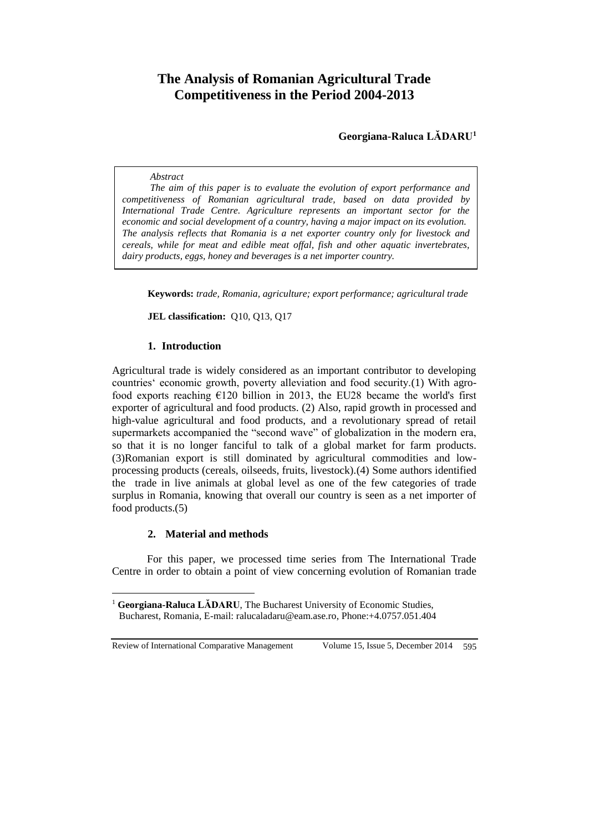# **The Analysis of Romanian Agricultural Trade Competitiveness in the Period 2004-2013**

 **Georgiana-Raluca LĂDARU<sup>1</sup>**

## *Abstract*

*The aim of this paper is to evaluate the evolution of export performance and competitiveness of Romanian agricultural trade, based on data provided by International Trade Centre. Agriculture represents an important sector for the economic and social development of a country, having a major impact on its evolution. The analysis reflects that Romania is a net exporter country only for livestock and cereals, while for meat and edible meat offal, fish and other aquatic invertebrates, dairy products, eggs, honey and beverages is a net importer country.*

**Keywords:** *trade, Romania, agriculture; export performance; agricultural trade*

**JEL classification:** Q10, Q13, Q17

## **1. Introduction**

Agricultural trade is widely considered as an important contributor to developing countries' economic growth, poverty alleviation and food security.(1) With agrofood exports reaching  $E120$  billion in 2013, the EU28 became the world's first exporter of agricultural and food products. (2) Also, rapid growth in processed and high-value agricultural and food products, and a revolutionary spread of retail supermarkets accompanied the "second wave" of globalization in the modern era, so that it is no longer fanciful to talk of a global market for farm products. (3)Romanian export is still dominated by agricultural commodities and lowprocessing products (cereals, oilseeds, fruits, livestock).(4) Some authors identified the trade in live animals at global level as one of the few categories of trade surplus in Romania, knowing that overall our country is seen as a net importer of food products.(5)

# **2. Material and methods**

For this paper, we processed time series from The International Trade Centre in order to obtain a point of view concerning evolution of Romanian trade

Review of International Comparative Management Volume 15, Issue 5, December 2014 595

 $\overline{a}$ 

<sup>&</sup>lt;sup>1</sup> **Georgiana-Raluca LĂDARU**, The Bucharest University of Economic Studies, Bucharest, Romania, E-mail: [ralucaladaru@eam.ase.ro,](mailto:ralucaladaru@eam.ase.ro) Phone:+4.0757.051.404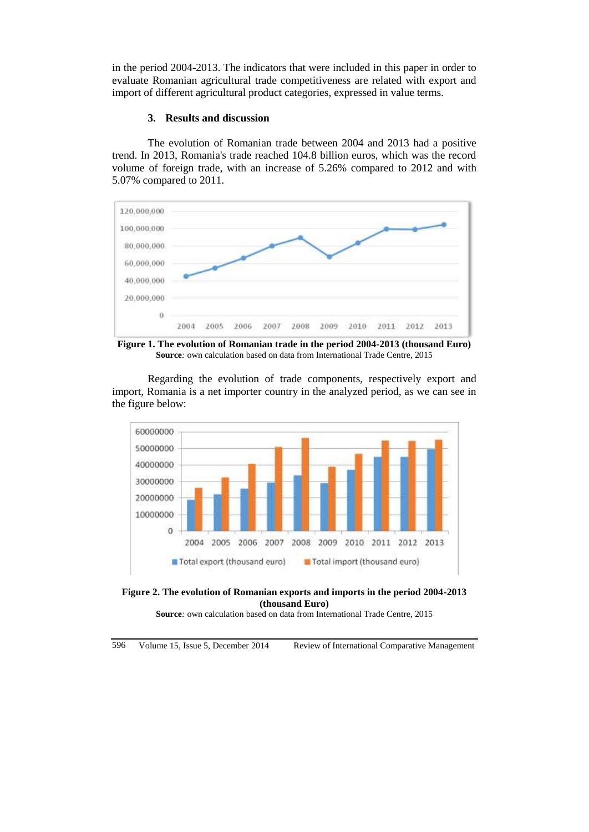in the period 2004-2013. The indicators that were included in this paper in order to evaluate Romanian agricultural trade competitiveness are related with export and import of different agricultural product categories, expressed in value terms.

## **3. Results and discussion**

The evolution of Romanian trade between 2004 and 2013 had a positive trend. In 2013, Romania's trade reached 104.8 billion euros, which was the record volume of foreign trade, with an increase of 5.26% compared to 2012 and with 5.07% compared to 2011.



**Figure 1. The evolution of Romanian trade in the period 2004-2013 (thousand Euro) Source***:* own calculation based on data from International Trade Centre, 2015

Regarding the evolution of trade components, respectively export and import, Romania is a net importer country in the analyzed period, as we can see in the figure below:





**Source***:* own calculation based on data from International Trade Centre, 2015

596 Volume 15, Issue 5, December 2014 Review of International Comparative Management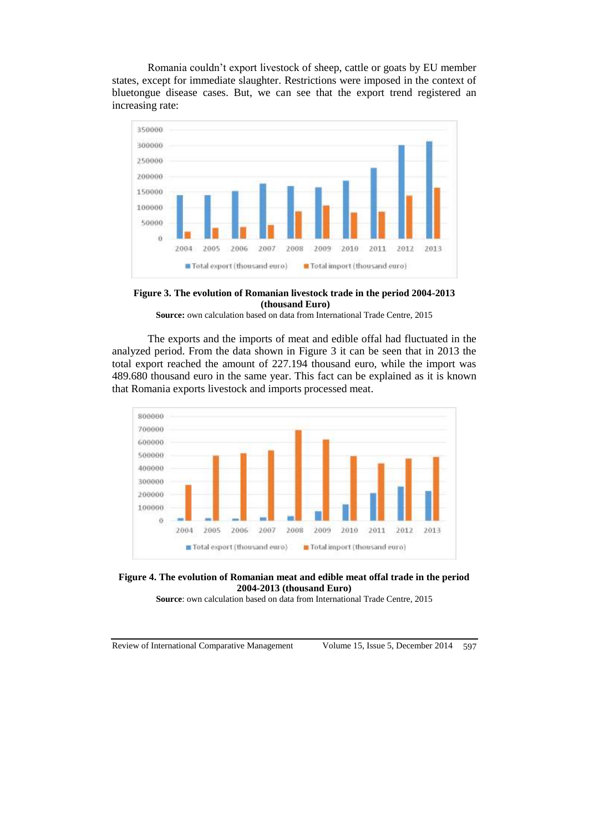Romania couldn't export livestock of sheep, cattle or goats by EU member states, except for immediate slaughter. Restrictions were imposed in the context of bluetongue disease cases. But, we can see that the export trend registered an increasing rate:





**Source:** own calculation based on data from International Trade Centre, 2015

The exports and the imports of meat and edible offal had fluctuated in the analyzed period. From the data shown in Figure 3 it can be seen that in 2013 the total export reached the amount of 227.194 thousand euro, while the import was 489.680 thousand euro in the same year. This fact can be explained as it is known that Romania exports livestock and imports processed meat.





**Source**: own calculation based on data from International Trade Centre, 2015

Review of International Comparative Management Volume 15, Issue 5, December 2014 597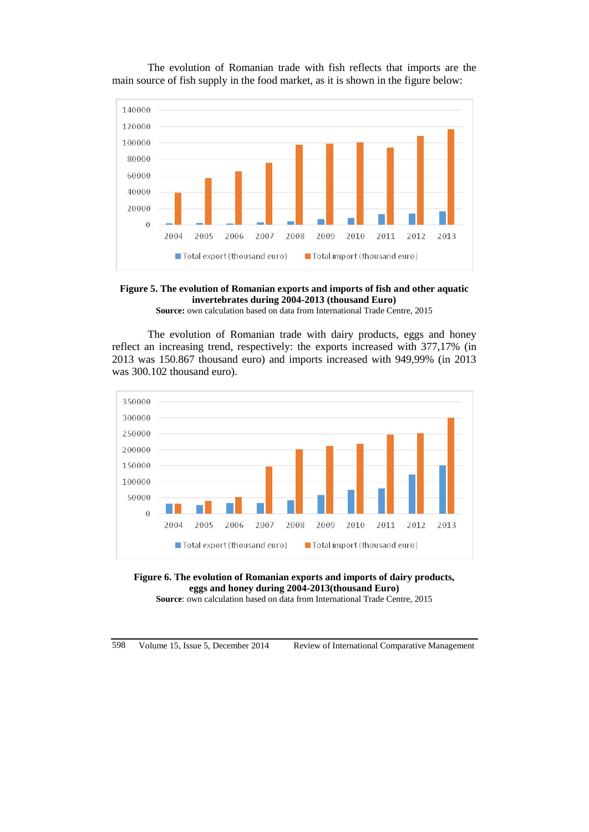The evolution of Romanian trade with fish reflects that imports are the main source of fish supply in the food market, as it is shown in the figure below:





**Source:** own calculation based on data from International Trade Centre, 2015

The evolution of Romanian trade with dairy products, eggs and honey reflect an increasing trend, respectively: the exports increased with 377,17% (in 2013 was 150.867 thousand euro) and imports increased with 949,99% (in 2013 was 300.102 thousand euro).



**Figure 6. The evolution of Romanian exports and imports of dairy products, eggs and honey during 2004-2013(thousand Euro)**

**Source**: own calculation based on data from International Trade Centre, 2015

598 Volume 15, Issue 5, December 2014 Review of International Comparative Management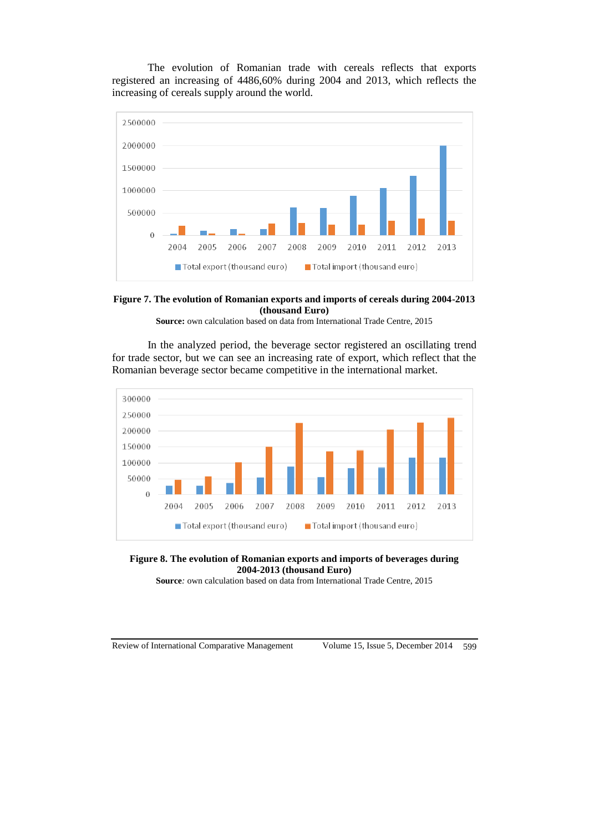The evolution of Romanian trade with cereals reflects that exports registered an increasing of 4486,60% during 2004 and 2013, which reflects the increasing of cereals supply around the world.





**Source:** own calculation based on data from International Trade Centre, 2015

In the analyzed period, the beverage sector registered an oscillating trend for trade sector, but we can see an increasing rate of export, which reflect that the Romanian beverage sector became competitive in the international market.





**Source***:* own calculation based on data from International Trade Centre, 2015

Review of International Comparative Management Volume 15, Issue 5, December 2014 599